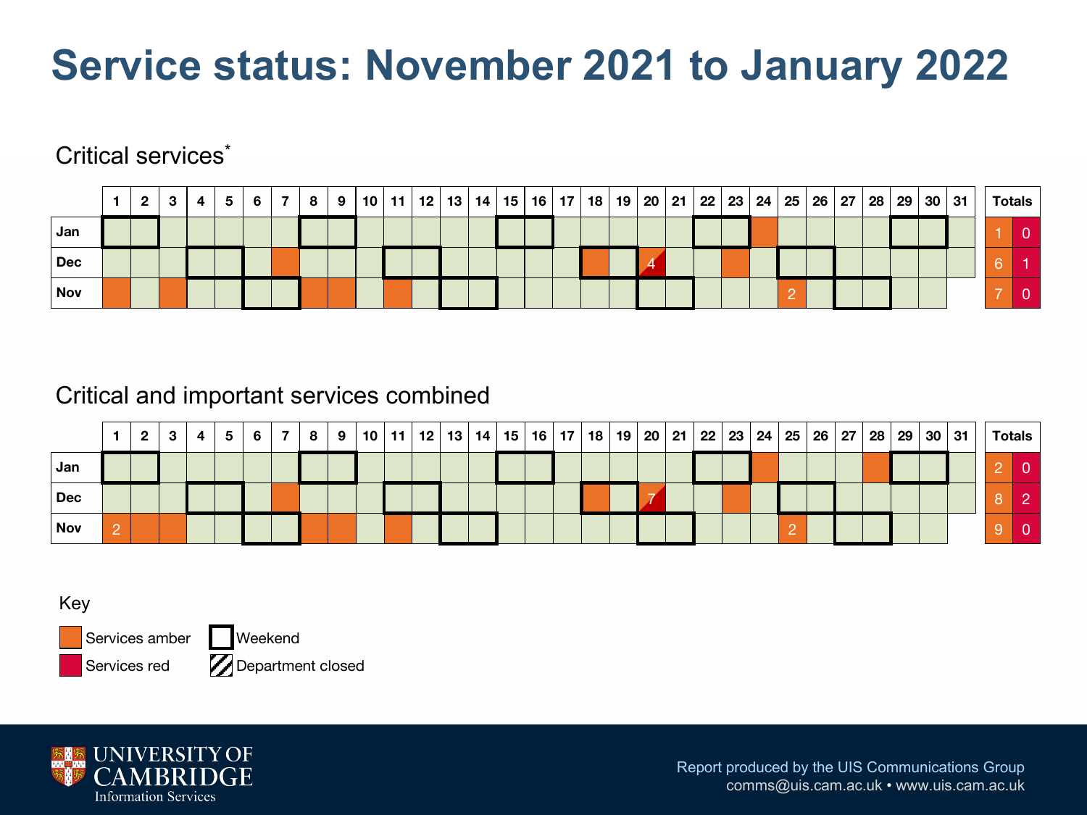# **Service status: November 2021 to January 2022**

#### Critical services<sup>\*</sup>

|            | $\overline{2}$ | -3 | 4 | -5 | 6 | <b>7</b> I | 8 | 9 |  |  |  |  |  |  |  |  |  |  | 10   11   12   13   14   15   16   17   18   19   20   21   22   23   24   25   26   27   28   29   30   31 | <b>Totals</b> |
|------------|----------------|----|---|----|---|------------|---|---|--|--|--|--|--|--|--|--|--|--|-------------------------------------------------------------------------------------------------------------|---------------|
| Jan        |                |    |   |    |   |            |   |   |  |  |  |  |  |  |  |  |  |  |                                                                                                             |               |
| <b>Dec</b> |                |    |   |    |   |            |   |   |  |  |  |  |  |  |  |  |  |  |                                                                                                             |               |
| <b>Nov</b> |                |    |   |    |   |            |   |   |  |  |  |  |  |  |  |  |  |  |                                                                                                             |               |

#### Critical and important services combined

|                              | $\mathbf{2}$ | 3 | 4 | 5 | -6 | 81 | 9 <sup>1</sup> |  | 10   11   12   13   14   15   16   17   18   19   20   21   22   23   24   25   26   27   28   29 |  |  |  |  |  |  |  |  | 30 31 |  | <b>Totals</b> |
|------------------------------|--------------|---|---|---|----|----|----------------|--|---------------------------------------------------------------------------------------------------|--|--|--|--|--|--|--|--|-------|--|---------------|
| Jan                          |              |   |   |   |    |    |                |  |                                                                                                   |  |  |  |  |  |  |  |  |       |  |               |
| $\overline{\phantom{a}}$ Dec |              |   |   |   |    |    |                |  |                                                                                                   |  |  |  |  |  |  |  |  |       |  |               |
| Nov                          |              |   |   |   |    |    |                |  |                                                                                                   |  |  |  |  |  |  |  |  |       |  |               |

Key

Services amber Services red

**Weekend Z** Department closed

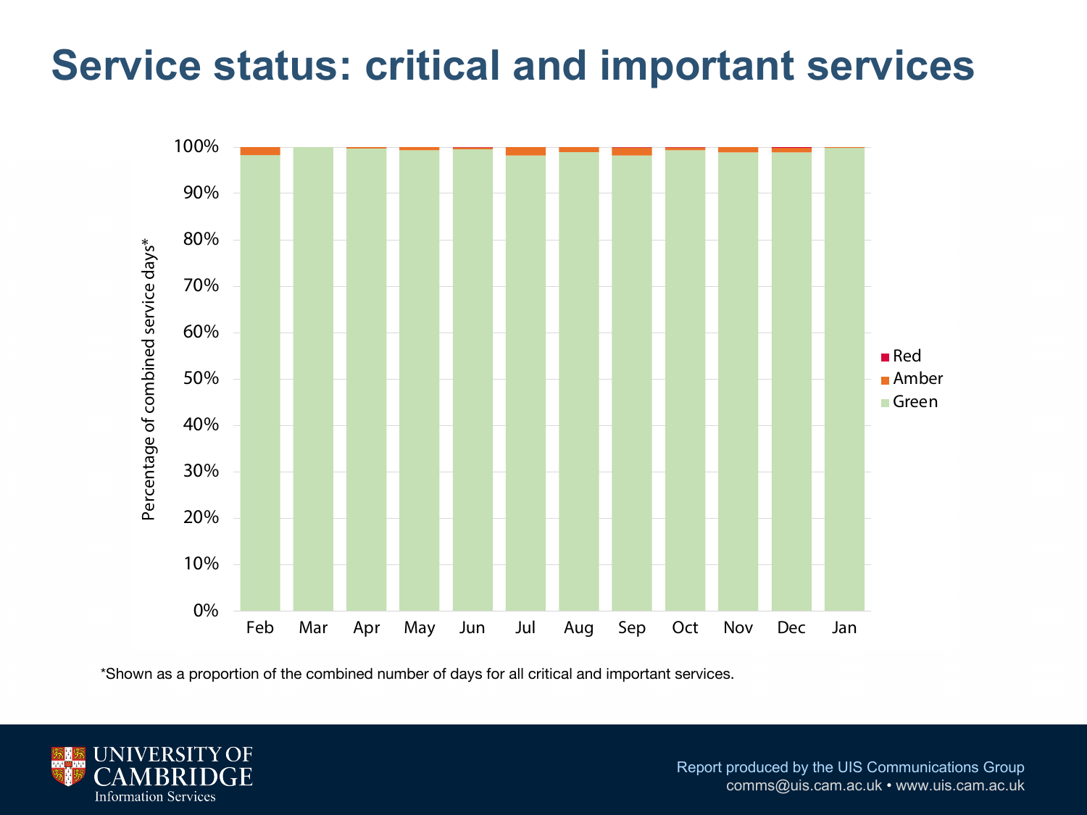### **Service status: critical and important services**



\*Shown as a proportion of the combined number of days for all critical and important services.

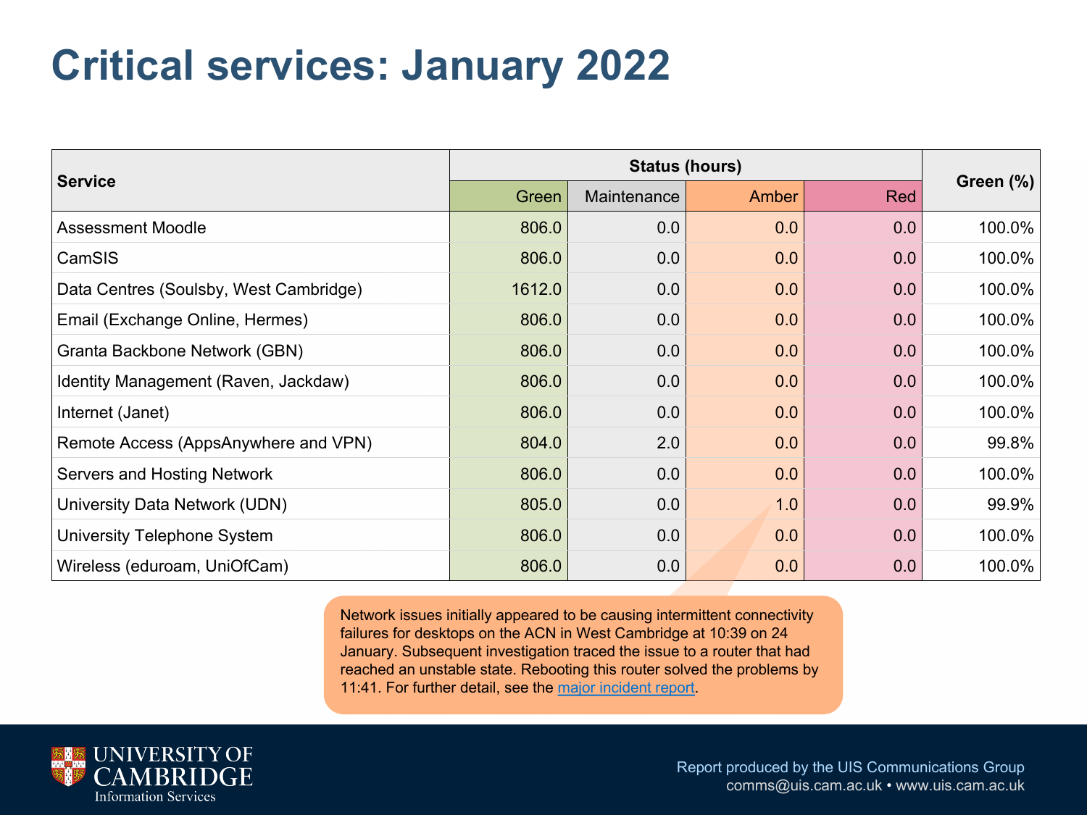#### **Critical services: January 2022**

|                                        | <b>Status (hours)</b> |             |       |     |  |  |  |  |  |  |  |  |
|----------------------------------------|-----------------------|-------------|-------|-----|--|--|--|--|--|--|--|--|
| <b>Service</b>                         | Green                 | Maintenance | Amber | Red |  |  |  |  |  |  |  |  |
| <b>Assessment Moodle</b>               | 806.0                 | 0.0         | 0.0   | 0.0 |  |  |  |  |  |  |  |  |
| CamSIS                                 | 806.0                 | 0.0         | 0.0   | 0.0 |  |  |  |  |  |  |  |  |
| Data Centres (Soulsby, West Cambridge) | 1612.0                | 0.0         | 0.0   | 0.0 |  |  |  |  |  |  |  |  |
| Email (Exchange Online, Hermes)        | 806.0                 | 0.0         | 0.0   | 0.0 |  |  |  |  |  |  |  |  |
| Granta Backbone Network (GBN)          | 806.0                 | 0.0         | 0.0   | 0.0 |  |  |  |  |  |  |  |  |
| Identity Management (Raven, Jackdaw)   | 806.0                 | 0.0         | 0.0   | 0.0 |  |  |  |  |  |  |  |  |
| Internet (Janet)                       | 806.0                 | 0.0         | 0.0   | 0.0 |  |  |  |  |  |  |  |  |
| Remote Access (AppsAnywhere and VPN)   | 804.0                 | 2.0         | 0.0   | 0.0 |  |  |  |  |  |  |  |  |
| Servers and Hosting Network            | 806.0                 | 0.0         | 0.0   | 0.0 |  |  |  |  |  |  |  |  |
| University Data Network (UDN)          | 805.0                 | 0.0         | 1.0   | 0.0 |  |  |  |  |  |  |  |  |
| University Telephone System            | 806.0                 | 0.0         | 0.0   | 0.0 |  |  |  |  |  |  |  |  |
| Wireless (eduroam, UniOfCam)           | 806.0                 | 0.0         | 0.0   | 0.0 |  |  |  |  |  |  |  |  |

Network issues initially appeared to be causing intermittent connectivity failures for desktops on the ACN in West Cambridge at 10:39 on 24 January. Subsequent investigation traced the issue to a router that had reached an unstable state. Rebooting this router solved the problems by 11:41. For further detail, see the major incident report.

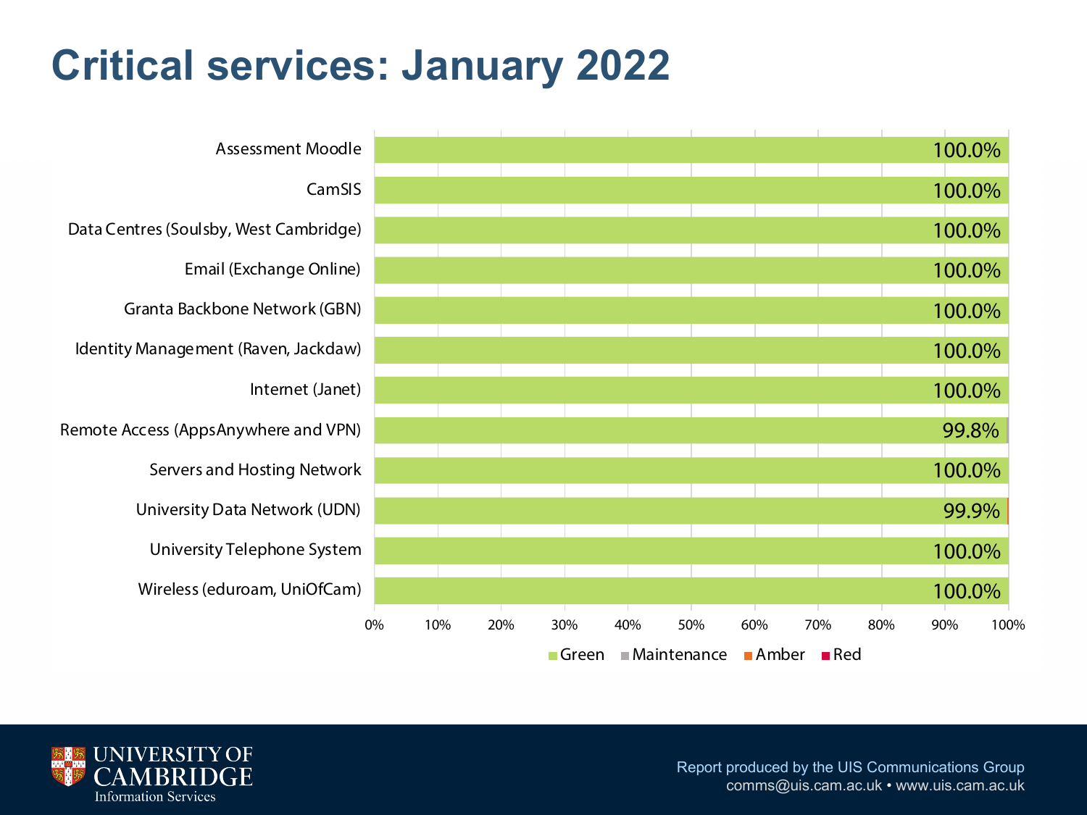## **Critical services: January 2022**



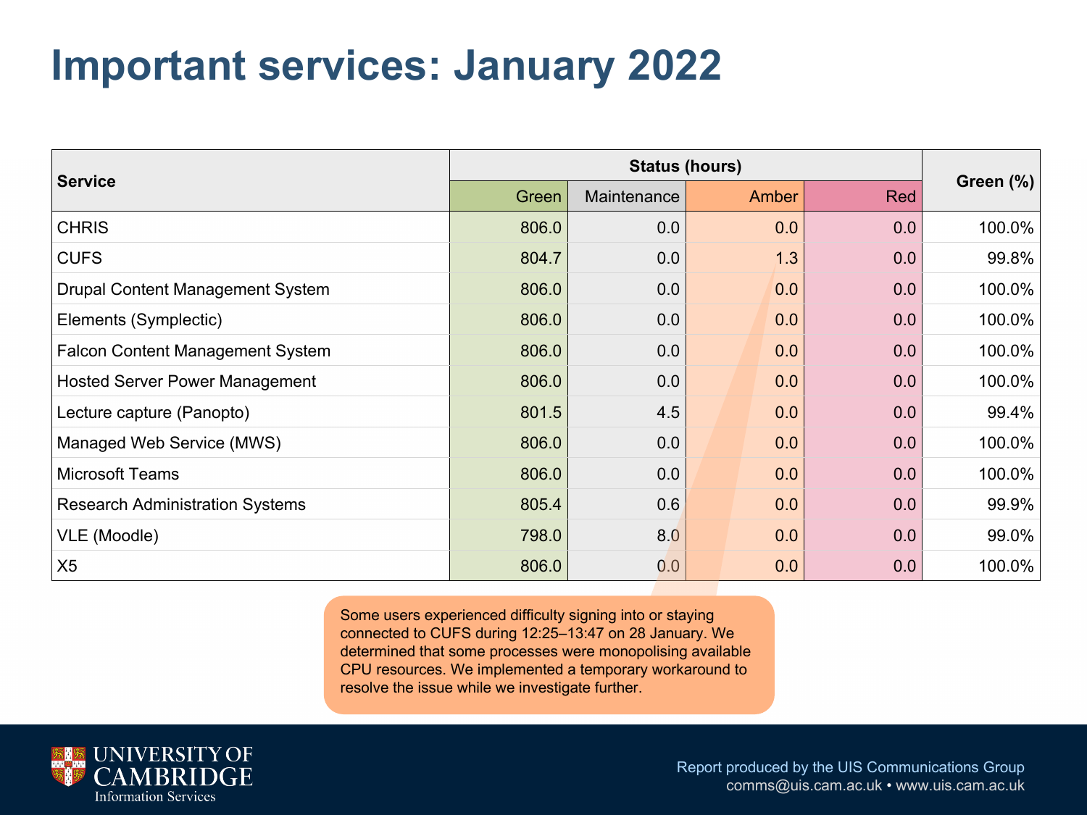## **Important services: January 2022**

| <b>Service</b>                          | Green | Maintenance | Amber | Red | Green $(\%)$ |  |
|-----------------------------------------|-------|-------------|-------|-----|--------------|--|
| <b>CHRIS</b>                            | 806.0 | 0.0         | 0.0   | 0.0 | 100.0%       |  |
| <b>CUFS</b>                             | 804.7 | 0.0         | 1.3   | 0.0 | 99.8%        |  |
| <b>Drupal Content Management System</b> | 806.0 | 0.0         | 0.0   | 0.0 | 100.0%       |  |
| Elements (Symplectic)                   | 806.0 | 0.0         | 0.0   | 0.0 | 100.0%       |  |
| Falcon Content Management System        | 806.0 | 0.0         | 0.0   | 0.0 | 100.0%       |  |
| <b>Hosted Server Power Management</b>   | 806.0 | 0.0         | 0.0   | 0.0 | 100.0%       |  |
| Lecture capture (Panopto)               | 801.5 | 4.5         | 0.0   | 0.0 | 99.4%        |  |
| Managed Web Service (MWS)               | 806.0 | 0.0         | 0.0   | 0.0 | 100.0%       |  |
| <b>Microsoft Teams</b>                  | 806.0 | 0.0         | 0.0   | 0.0 | 100.0%       |  |
| <b>Research Administration Systems</b>  | 805.4 | 0.6         | 0.0   | 0.0 | 99.9%        |  |
| VLE (Moodle)                            | 798.0 | 8.0         | 0.0   | 0.0 | 99.0%        |  |
| X5                                      | 806.0 | 0.0         | 0.0   | 0.0 | 100.0%       |  |

Some users experienced difficulty signing into or staying connected to CUFS during 12:25–13:47 on 28 January. We determined that some processes were monopolising available CPU resources. We implemented a temporary workaround to resolve the issue while we investigate further.